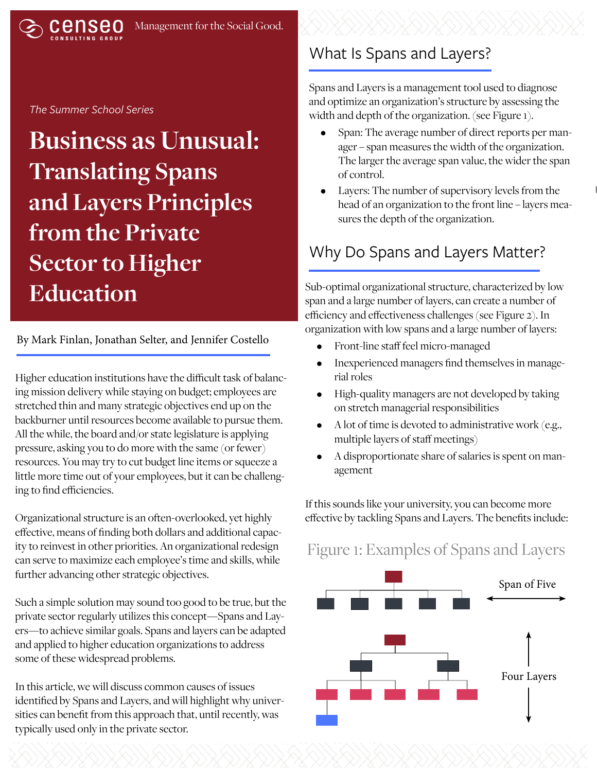#### *The Summer School Series*

**Business as Unusual: Translating Spans and Layers Principles from the Private Sector to Higher Education**

#### By Mark Finlan, Jonathan Selter, and Jennifer Costello

Higher education institutions have the difficult task of balancing mission delivery while staying on budget; employees are stretched thin and many strategic objectives end up on the backburner until resources become available to pursue them. All the while, the board and/or state legislature is applying pressure, asking you to do more with the same (or fewer) resources. You may try to cut budget line items or squeeze a little more time out of your employees, but it can be challenging to find efficiencies.

Organizational structure is an often-overlooked, yet highly effective, means of finding both dollars and additional capacity to reinvest in other priorities. An organizational redesign can serve to maximize each employee's time and skills, while further advancing other strategic objectives.

Such a simple solution may sound too good to be true, but the private sector regularly utilizes this concept—Spans and Layers—to achieve similar goals. Spans and layers can be adapted and applied to higher education organizations to address some of these widespread problems.

In this article, we will discuss common causes of issues identified by Spans and Layers, and will highlight why universities can benefit from this approach that, until recently, was typically used only in the private sector.

#### What Is Spans and Layers?

Spans and Layers is a management tool used to diagnose and optimize an organization's structure by assessing the width and depth of the organization. (see Figure 1).

- Span: The average number of direct reports per manager – span measures the width of the organization. The larger the average span value, the wider the span of control.
- Layers: The number of supervisory levels from the head of an organization to the front line – layers measures the depth of the organization.

### Why Do Spans and Layers Matter?

Sub-optimal organizational structure, characterized by low span and a large number of layers, can create a number of efficiency and effectiveness challenges (see Figure 2). In organization with low spans and a large number of layers:

- Front-line staff feel micro-managed
- Inexperienced managers find themselves in managerial roles
- High-quality managers are not developed by taking on stretch managerial responsibilities
- A lot of time is devoted to administrative work (e.g., multiple layers of staff meetings)
- A disproportionate share of salaries is spent on management

If this sounds like your university, you can become more effective by tackling Spans and Layers. The benefits include:

### Figure 1: Examples of Spans and Layers

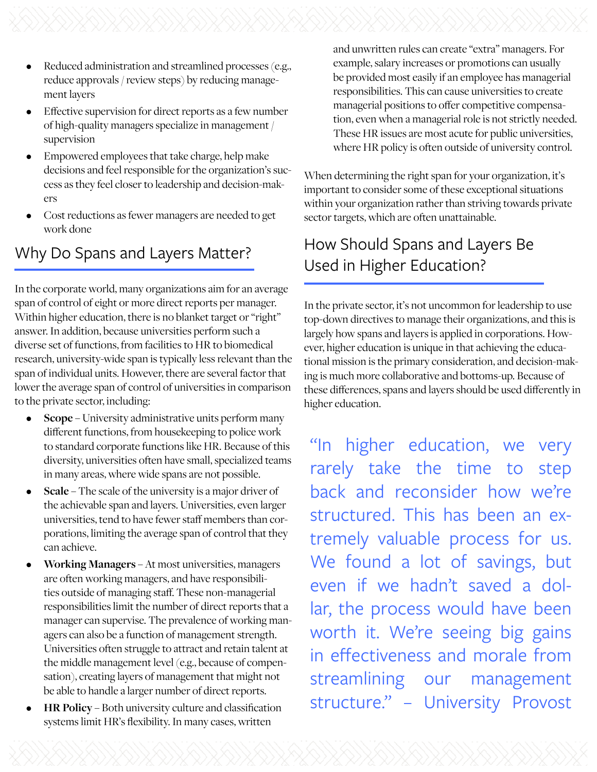- Reduced administration and streamlined processes (e.g., reduce approvals / review steps) by reducing management layers
- Effective supervision for direct reports as a few number of high-quality managers specialize in management / supervision
- Empowered employees that take charge, help make decisions and feel responsible for the organization's success as they feel closer to leadership and decision-makers
- Cost reductions as fewer managers are needed to get work done

# Why Do Spans and Layers Matter?

In the corporate world, many organizations aim for an average span of control of eight or more direct reports per manager. Within higher education, there is no blanket target or "right" answer. In addition, because universities perform such a diverse set of functions, from facilities to HR to biomedical research, university-wide span is typically less relevant than the span of individual units. However, there are several factor that lower the average span of control of universities in comparison to the private sector, including:

- **• Scope** University administrative units perform many different functions, from housekeeping to police work to standard corporate functions like HR. Because of this diversity, universities often have small, specialized teams in many areas, where wide spans are not possible.
- **• Scale** The scale of the university is a major driver of the achievable span and layers. Universities, even larger universities, tend to have fewer staff members than corporations, limiting the average span of control that they can achieve.
- **• Working Managers**  At most universities, managers are often working managers, and have responsibilities outside of managing staff. These non-managerial responsibilities limit the number of direct reports that a manager can supervise. The prevalence of working managers can also be a function of management strength. Universities often struggle to attract and retain talent at the middle management level (e.g., because of compensation), creating layers of management that might not be able to handle a larger number of direct reports.
- **• HR Policy** Both university culture and classification systems limit HR's flexibility. In many cases, written

and unwritten rules can create "extra" managers. For example, salary increases or promotions can usually be provided most easily if an employee has managerial responsibilities. This can cause universities to create managerial positions to offer competitive compensation, even when a managerial role is not strictly needed. These HR issues are most acute for public universities, where HR policy is often outside of university control.

When determining the right span for your organization, it's important to consider some of these exceptional situations within your organization rather than striving towards private sector targets, which are often unattainable.

# How Should Spans and Layers Be Used in Higher Education?

In the private sector, it's not uncommon for leadership to use top-down directives to manage their organizations, and this is largely how spans and layers is applied in corporations. However, higher education is unique in that achieving the educational mission is the primary consideration, and decision-making is much more collaborative and bottoms-up. Because of these differences, spans and layers should be used differently in higher education.

"In higher education, we very rarely take the time to step back and reconsider how we're structured. This has been an extremely valuable process for us. We found a lot of savings, but even if we hadn't saved a dollar, the process would have been worth it. We're seeing big gains in effectiveness and morale from streamlining our management structure." – University Provost